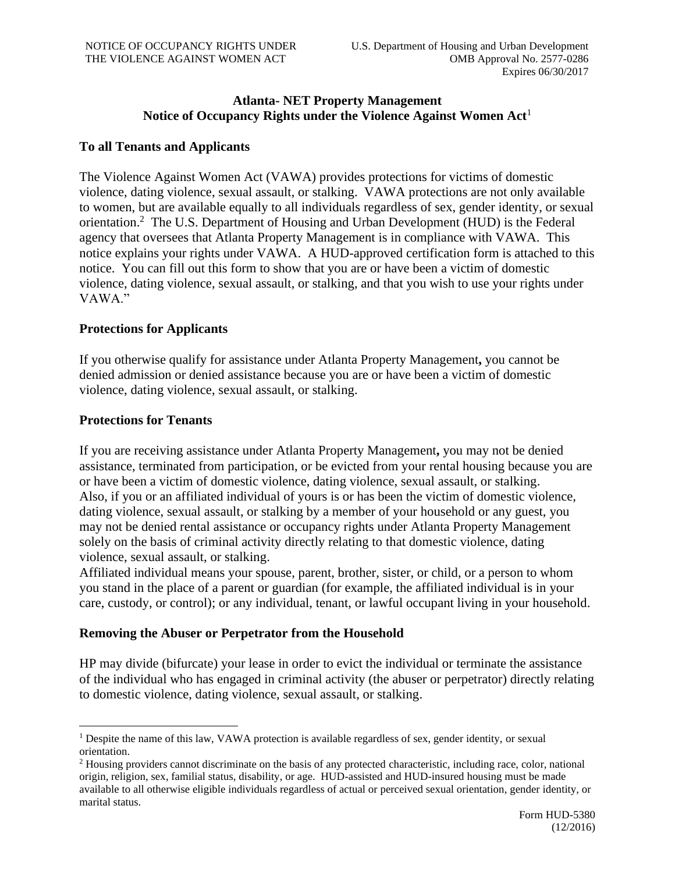# **Atlanta- NET Property Management Notice of Occupancy Rights under the Violence Against Women Act**<sup>1</sup>

# **To all Tenants and Applicants**

The Violence Against Women Act (VAWA) provides protections for victims of domestic violence, dating violence, sexual assault, or stalking. VAWA protections are not only available to women, but are available equally to all individuals regardless of sex, gender identity, or sexual orientation.<sup>2</sup> The U.S. Department of Housing and Urban Development (HUD) is the Federal agency that oversees that Atlanta Property Management is in compliance with VAWA. This notice explains your rights under VAWA. A HUD-approved certification form is attached to this notice. You can fill out this form to show that you are or have been a victim of domestic violence, dating violence, sexual assault, or stalking, and that you wish to use your rights under VAWA."

### **Protections for Applicants**

If you otherwise qualify for assistance under Atlanta Property Management**,** you cannot be denied admission or denied assistance because you are or have been a victim of domestic violence, dating violence, sexual assault, or stalking.

# **Protections for Tenants**

If you are receiving assistance under Atlanta Property Management**,** you may not be denied assistance, terminated from participation, or be evicted from your rental housing because you are or have been a victim of domestic violence, dating violence, sexual assault, or stalking. Also, if you or an affiliated individual of yours is or has been the victim of domestic violence, dating violence, sexual assault, or stalking by a member of your household or any guest, you may not be denied rental assistance or occupancy rights under Atlanta Property Management solely on the basis of criminal activity directly relating to that domestic violence, dating violence, sexual assault, or stalking.

Affiliated individual means your spouse, parent, brother, sister, or child, or a person to whom you stand in the place of a parent or guardian (for example, the affiliated individual is in your care, custody, or control); or any individual, tenant, or lawful occupant living in your household.

# **Removing the Abuser or Perpetrator from the Household**

HP may divide (bifurcate) your lease in order to evict the individual or terminate the assistance of the individual who has engaged in criminal activity (the abuser or perpetrator) directly relating to domestic violence, dating violence, sexual assault, or stalking.

<sup>&</sup>lt;sup>1</sup> Despite the name of this law, VAWA protection is available regardless of sex, gender identity, or sexual orientation.

<sup>&</sup>lt;sup>2</sup> Housing providers cannot discriminate on the basis of any protected characteristic, including race, color, national origin, religion, sex, familial status, disability, or age. HUD-assisted and HUD-insured housing must be made available to all otherwise eligible individuals regardless of actual or perceived sexual orientation, gender identity, or marital status.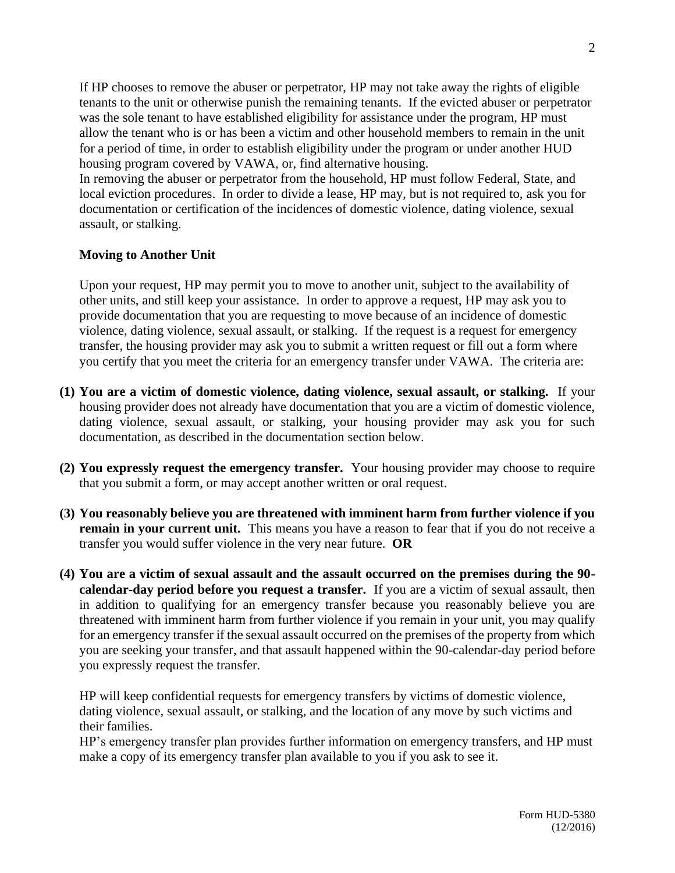If HP chooses to remove the abuser or perpetrator, HP may not take away the rights of eligible tenants to the unit or otherwise punish the remaining tenants. If the evicted abuser or perpetrator was the sole tenant to have established eligibility for assistance under the program, HP must allow the tenant who is or has been a victim and other household members to remain in the unit for a period of time, in order to establish eligibility under the program or under another HUD housing program covered by VAWA, or, find alternative housing.

In removing the abuser or perpetrator from the household, HP must follow Federal, State, and local eviction procedures. In order to divide a lease, HP may, but is not required to, ask you for documentation or certification of the incidences of domestic violence, dating violence, sexual assault, or stalking.

# **Moving to Another Unit**

Upon your request, HP may permit you to move to another unit, subject to the availability of other units, and still keep your assistance. In order to approve a request, HP may ask you to provide documentation that you are requesting to move because of an incidence of domestic violence, dating violence, sexual assault, or stalking. If the request is a request for emergency transfer, the housing provider may ask you to submit a written request or fill out a form where you certify that you meet the criteria for an emergency transfer under VAWA. The criteria are:

- **(1) You are a victim of domestic violence, dating violence, sexual assault, or stalking.** If your housing provider does not already have documentation that you are a victim of domestic violence, dating violence, sexual assault, or stalking, your housing provider may ask you for such documentation, as described in the documentation section below.
- **(2) You expressly request the emergency transfer.** Your housing provider may choose to require that you submit a form, or may accept another written or oral request.
- **(3) You reasonably believe you are threatened with imminent harm from further violence if you remain in your current unit.** This means you have a reason to fear that if you do not receive a transfer you would suffer violence in the very near future. **OR**
- **(4) You are a victim of sexual assault and the assault occurred on the premises during the 90 calendar-day period before you request a transfer.** If you are a victim of sexual assault, then in addition to qualifying for an emergency transfer because you reasonably believe you are threatened with imminent harm from further violence if you remain in your unit, you may qualify for an emergency transfer if the sexual assault occurred on the premises of the property from which you are seeking your transfer, and that assault happened within the 90-calendar-day period before you expressly request the transfer.

HP will keep confidential requests for emergency transfers by victims of domestic violence, dating violence, sexual assault, or stalking, and the location of any move by such victims and their families.

HP's emergency transfer plan provides further information on emergency transfers, and HP must make a copy of its emergency transfer plan available to you if you ask to see it.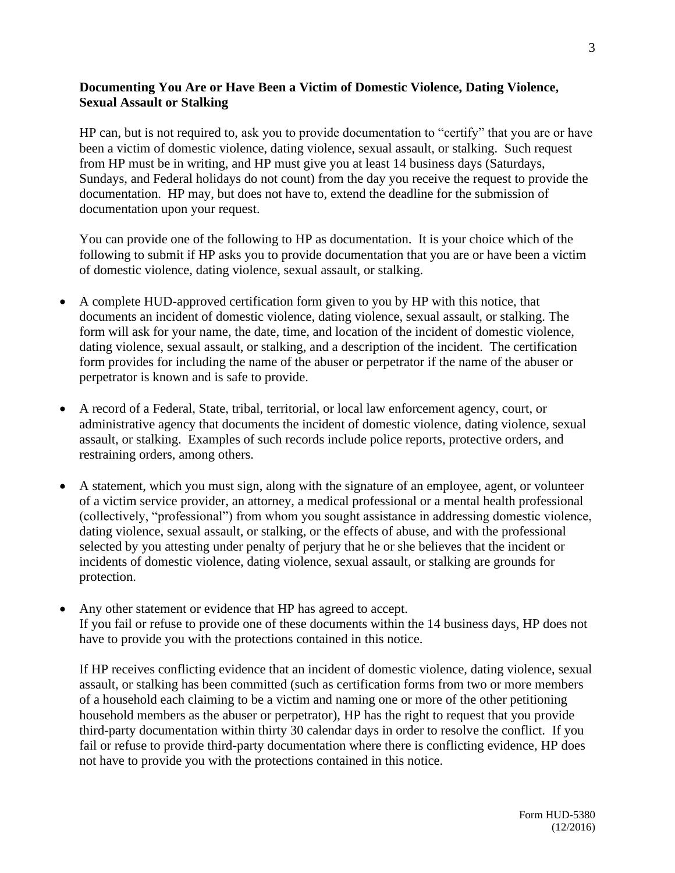# **Documenting You Are or Have Been a Victim of Domestic Violence, Dating Violence, Sexual Assault or Stalking**

HP can, but is not required to, ask you to provide documentation to "certify" that you are or have been a victim of domestic violence, dating violence, sexual assault, or stalking. Such request from HP must be in writing, and HP must give you at least 14 business days (Saturdays, Sundays, and Federal holidays do not count) from the day you receive the request to provide the documentation. HP may, but does not have to, extend the deadline for the submission of documentation upon your request.

You can provide one of the following to HP as documentation. It is your choice which of the following to submit if HP asks you to provide documentation that you are or have been a victim of domestic violence, dating violence, sexual assault, or stalking.

- A complete HUD-approved certification form given to you by HP with this notice, that documents an incident of domestic violence, dating violence, sexual assault, or stalking. The form will ask for your name, the date, time, and location of the incident of domestic violence, dating violence, sexual assault, or stalking, and a description of the incident. The certification form provides for including the name of the abuser or perpetrator if the name of the abuser or perpetrator is known and is safe to provide.
- A record of a Federal, State, tribal, territorial, or local law enforcement agency, court, or administrative agency that documents the incident of domestic violence, dating violence, sexual assault, or stalking. Examples of such records include police reports, protective orders, and restraining orders, among others.
- A statement, which you must sign, along with the signature of an employee, agent, or volunteer of a victim service provider, an attorney, a medical professional or a mental health professional (collectively, "professional") from whom you sought assistance in addressing domestic violence, dating violence, sexual assault, or stalking, or the effects of abuse, and with the professional selected by you attesting under penalty of perjury that he or she believes that the incident or incidents of domestic violence, dating violence, sexual assault, or stalking are grounds for protection.
- Any other statement or evidence that HP has agreed to accept. If you fail or refuse to provide one of these documents within the 14 business days, HP does not have to provide you with the protections contained in this notice.

If HP receives conflicting evidence that an incident of domestic violence, dating violence, sexual assault, or stalking has been committed (such as certification forms from two or more members of a household each claiming to be a victim and naming one or more of the other petitioning household members as the abuser or perpetrator), HP has the right to request that you provide third-party documentation within thirty 30 calendar days in order to resolve the conflict. If you fail or refuse to provide third-party documentation where there is conflicting evidence, HP does not have to provide you with the protections contained in this notice.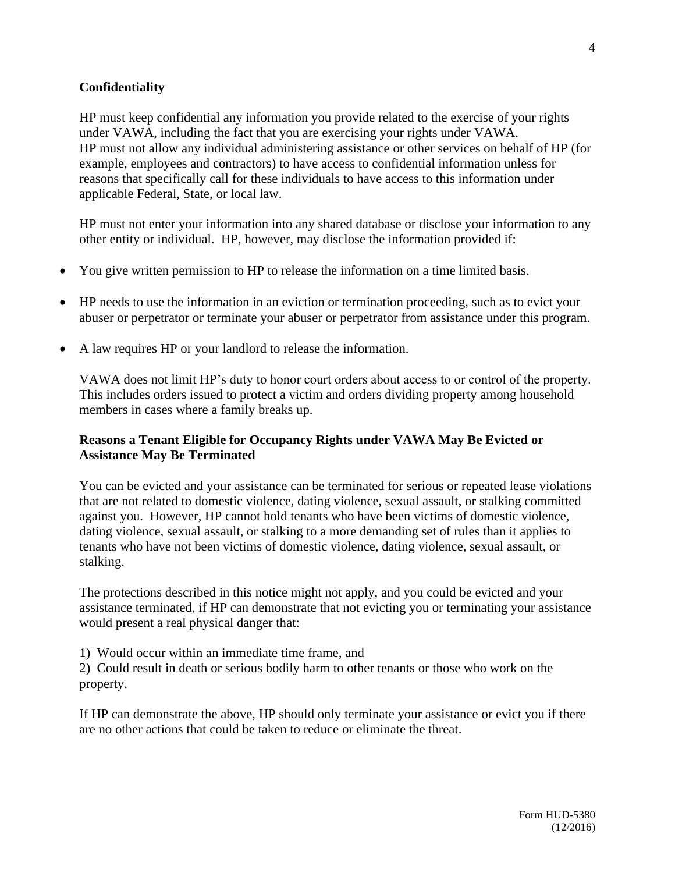### **Confidentiality**

HP must keep confidential any information you provide related to the exercise of your rights under VAWA, including the fact that you are exercising your rights under VAWA. HP must not allow any individual administering assistance or other services on behalf of HP (for example, employees and contractors) to have access to confidential information unless for reasons that specifically call for these individuals to have access to this information under applicable Federal, State, or local law.

HP must not enter your information into any shared database or disclose your information to any other entity or individual. HP, however, may disclose the information provided if:

- You give written permission to HP to release the information on a time limited basis.
- HP needs to use the information in an eviction or termination proceeding, such as to evict your abuser or perpetrator or terminate your abuser or perpetrator from assistance under this program.
- A law requires HP or your landlord to release the information.

VAWA does not limit HP's duty to honor court orders about access to or control of the property. This includes orders issued to protect a victim and orders dividing property among household members in cases where a family breaks up.

### **Reasons a Tenant Eligible for Occupancy Rights under VAWA May Be Evicted or Assistance May Be Terminated**

You can be evicted and your assistance can be terminated for serious or repeated lease violations that are not related to domestic violence, dating violence, sexual assault, or stalking committed against you. However, HP cannot hold tenants who have been victims of domestic violence, dating violence, sexual assault, or stalking to a more demanding set of rules than it applies to tenants who have not been victims of domestic violence, dating violence, sexual assault, or stalking.

The protections described in this notice might not apply, and you could be evicted and your assistance terminated, if HP can demonstrate that not evicting you or terminating your assistance would present a real physical danger that:

1) Would occur within an immediate time frame, and

2) Could result in death or serious bodily harm to other tenants or those who work on the property.

If HP can demonstrate the above, HP should only terminate your assistance or evict you if there are no other actions that could be taken to reduce or eliminate the threat.